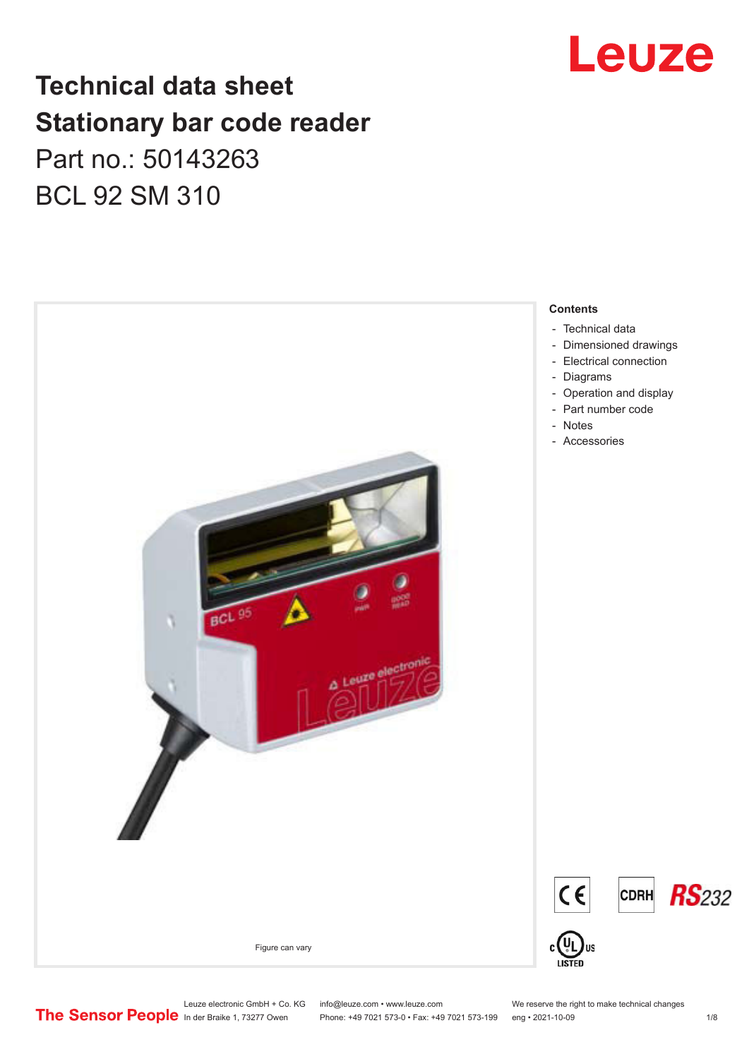# Leuze

## **Technical data sheet Stationary bar code reader** Part no.: 50143263 BCL 92 SM 310



Leuze electronic GmbH + Co. KG info@leuze.com • www.leuze.com We reserve the right to make technical changes<br>
The Sensor People in der Braike 1, 73277 Owen Phone: +49 7021 573-0 • Fax: +49 7021 573-199 eng • 2021-10-09

Phone: +49 7021 573-0 • Fax: +49 7021 573-199 eng • 2021-10-09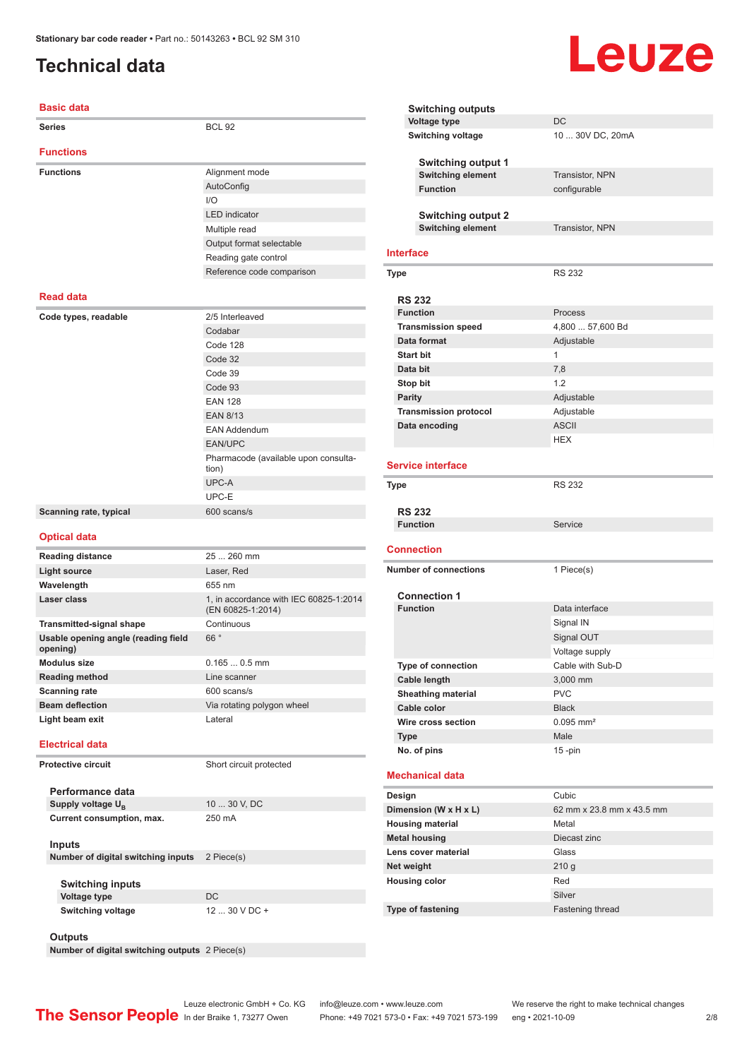### <span id="page-1-0"></span>**Technical data**

| <b>Basic data</b>                               |                                                             |
|-------------------------------------------------|-------------------------------------------------------------|
| <b>Series</b>                                   | <b>BCL 92</b>                                               |
| <b>Functions</b>                                |                                                             |
| <b>Functions</b>                                | Alignment mode                                              |
|                                                 | AutoConfig                                                  |
|                                                 | 1/O                                                         |
|                                                 | <b>LED</b> indicator                                        |
|                                                 | Multiple read                                               |
|                                                 | Output format selectable                                    |
|                                                 | Reading gate control                                        |
|                                                 | Reference code comparison                                   |
|                                                 |                                                             |
| <b>Read data</b>                                |                                                             |
| Code types, readable                            | 2/5 Interleaved                                             |
|                                                 | Codabar                                                     |
|                                                 | Code 128                                                    |
|                                                 | Code 32                                                     |
|                                                 | Code 39                                                     |
|                                                 | Code 93                                                     |
|                                                 | <b>EAN 128</b>                                              |
|                                                 | <b>EAN 8/13</b>                                             |
|                                                 | <b>EAN Addendum</b>                                         |
|                                                 | <b>EAN/UPC</b>                                              |
|                                                 | Pharmacode (available upon consulta-<br>tion)               |
|                                                 | UPC-A                                                       |
|                                                 | UPC-E                                                       |
| Scanning rate, typical                          | 600 scans/s                                                 |
| <b>Optical data</b>                             |                                                             |
| <b>Reading distance</b>                         | 25  260 mm                                                  |
| <b>Light source</b>                             | Laser, Red                                                  |
| Wavelength                                      | 655 nm                                                      |
| Laser class                                     | 1, in accordance with IEC 60825-1:2014<br>(EN 60825-1:2014) |
| Transmitted-signal shape                        | Continuous                                                  |
| Usable opening angle (reading field<br>opening) | 66°                                                         |
| Modulus size                                    | $0.1650.5$ mm                                               |
| <b>Reading method</b>                           | Line scanner                                                |
| <b>Scanning rate</b>                            | 600 scans/s                                                 |
| <b>Beam deflection</b>                          | Via rotating polygon wheel                                  |
| Light beam exit                                 | Lateral                                                     |
| <b>Electrical data</b>                          |                                                             |
| Protective circuit                              | Short circuit protected                                     |
| Performance data                                |                                                             |
| Supply voltage $U_{B}$                          | 10  30 V, DC                                                |
| Current consumption, max.                       | 250 mA                                                      |
|                                                 |                                                             |
| <b>Inputs</b>                                   |                                                             |
| Number of digital switching inputs              | 2 Piece(s)                                                  |
|                                                 |                                                             |
| <b>Switching inputs</b>                         |                                                             |

**Voltage type** DC **Switching voltage** 12 ... 30 V DC +

#### **Switching outputs Voltage type** DC **Switching voltage** 10 ... 30V DC, 20mA **Switching output 1 Switching element** Transistor, NPN **Function** configurable **Switching output 2 Switching element** Transistor, NPN **Interface Type** RS 232 **RS 232 Function** Process **Transmission speed** 4,800 ... 57,600 Bd **Data format** Adjustable **Start bit** 1 **Data bit** 7,8 **Stop bit** 1.2 **Parity** Adjustable **Transmission protocol** Adjustable **Data encoding** ASCII HEX **Service interface Type** RS 232 **RS 232 Function** Service **Connection Number of connections** 1 Piece(s) **Connection 1** Data interface Signal IN Signal OUT Voltage supply **Type of connection** Cable with Sub-D **Cable length** 3,000 mm **Sheathing material** PVC **Cable color** Black **Wire cross section** 0.095 mm<sup>2</sup> **Type** Male

Leuze

#### **Mechanical data**

**No. of pins** 15 -pin

| Design                   | Cubic                     |
|--------------------------|---------------------------|
| Dimension (W x H x L)    | 62 mm x 23.8 mm x 43.5 mm |
| <b>Housing material</b>  | Metal                     |
| <b>Metal housing</b>     | Diecast zinc              |
| Lens cover material      | Glass                     |
| Net weight               | 210q                      |
| <b>Housing color</b>     | Red                       |
|                          | Silver                    |
| <b>Type of fastening</b> | <b>Fastening thread</b>   |

**Outputs**

**Number of digital switching outputs** 2 Piece(s)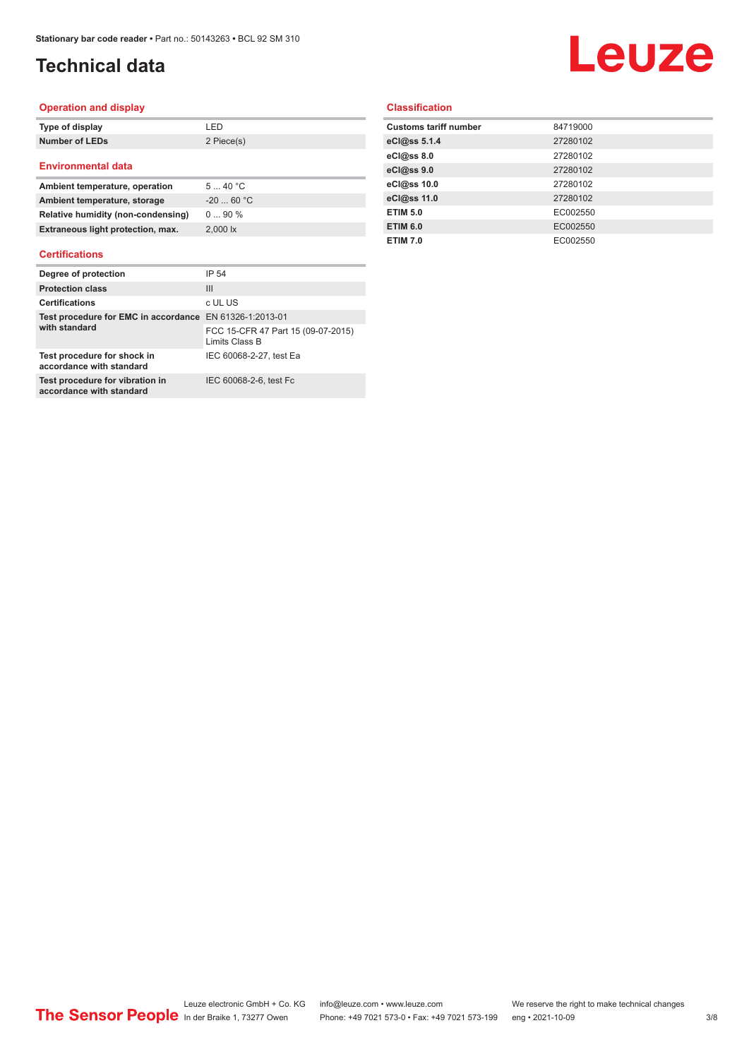### **Technical data**

# Leuze

#### **Operation and display**

| Type of display           | I FD       |
|---------------------------|------------|
| <b>Number of LEDs</b>     | 2 Piece(s) |
| <b>Environmental data</b> |            |

| Ambient temperature, operation     | 540 °C             |
|------------------------------------|--------------------|
| Ambient temperature, storage       | $-2060 °C$         |
| Relative humidity (non-condensing) | $090\%$            |
| Extraneous light protection, max.  | $2.000 \text{ lx}$ |

#### **Certifications**

| Degree of protection                                        | IP 54                                                |
|-------------------------------------------------------------|------------------------------------------------------|
| <b>Protection class</b>                                     | Ш                                                    |
| <b>Certifications</b>                                       | c UL US                                              |
| Test procedure for EMC in accordance EN 61326-1:2013-01     |                                                      |
| with standard                                               | FCC 15-CFR 47 Part 15 (09-07-2015)<br>Limits Class B |
| Test procedure for shock in<br>accordance with standard     | IEC 60068-2-27, test Ea                              |
| Test procedure for vibration in<br>accordance with standard | IEC 60068-2-6, test Fc                               |

#### **Classification**

| <b>Customs tariff number</b> | 84719000 |
|------------------------------|----------|
| eCl@ss 5.1.4                 | 27280102 |
| eCl@ss 8.0                   | 27280102 |
| eCl@ss 9.0                   | 27280102 |
| eCl@ss 10.0                  | 27280102 |
| eCl@ss 11.0                  | 27280102 |
| <b>ETIM 5.0</b>              | EC002550 |
| <b>ETIM 6.0</b>              | EC002550 |
| <b>ETIM 7.0</b>              | EC002550 |
|                              |          |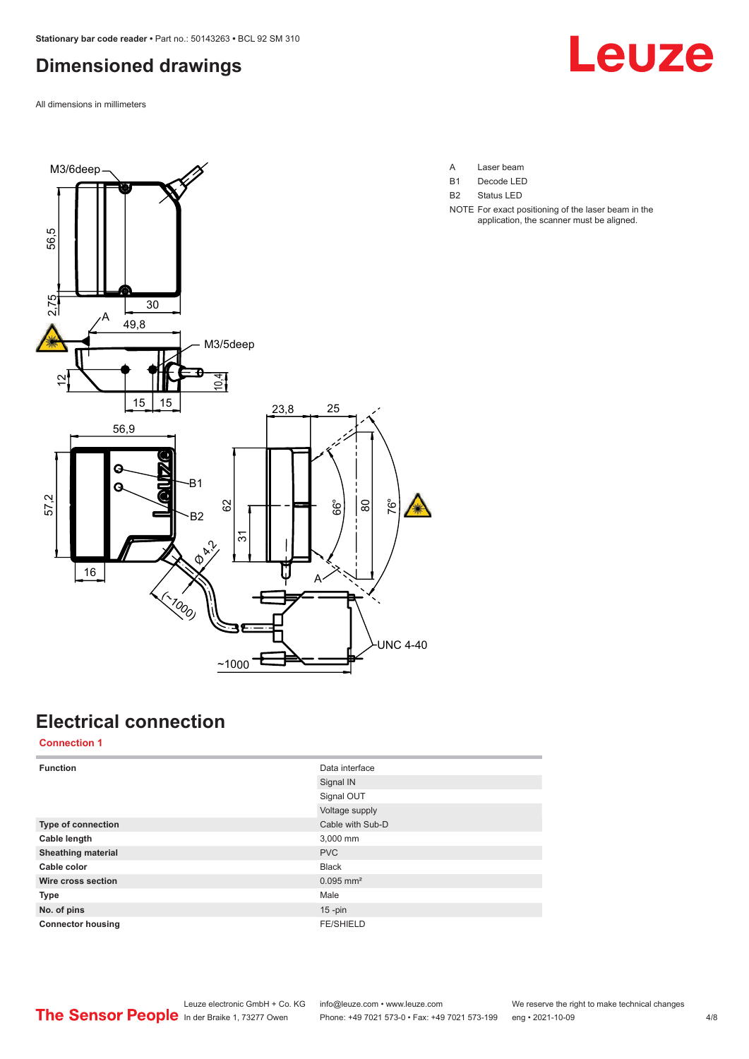### <span id="page-3-0"></span>**Dimensioned drawings**

All dimensions in millimeters





- A Laser beam B1 Decode LED
- B2 Status LED
- NOTE For exact positioning of the laser beam in the application, the scanner must be aligned.

### **Electrical connection**

**Connection 1**

| <b>Function</b>           | Data interface          |
|---------------------------|-------------------------|
|                           | Signal IN               |
|                           | Signal OUT              |
|                           | Voltage supply          |
| Type of connection        | Cable with Sub-D        |
| Cable length              | 3,000 mm                |
| <b>Sheathing material</b> | <b>PVC</b>              |
| Cable color               | <b>Black</b>            |
| Wire cross section        | $0.095$ mm <sup>2</sup> |
| <b>Type</b>               | Male                    |
| No. of pins               | $15 - pin$              |
| <b>Connector housing</b>  | <b>FE/SHIELD</b>        |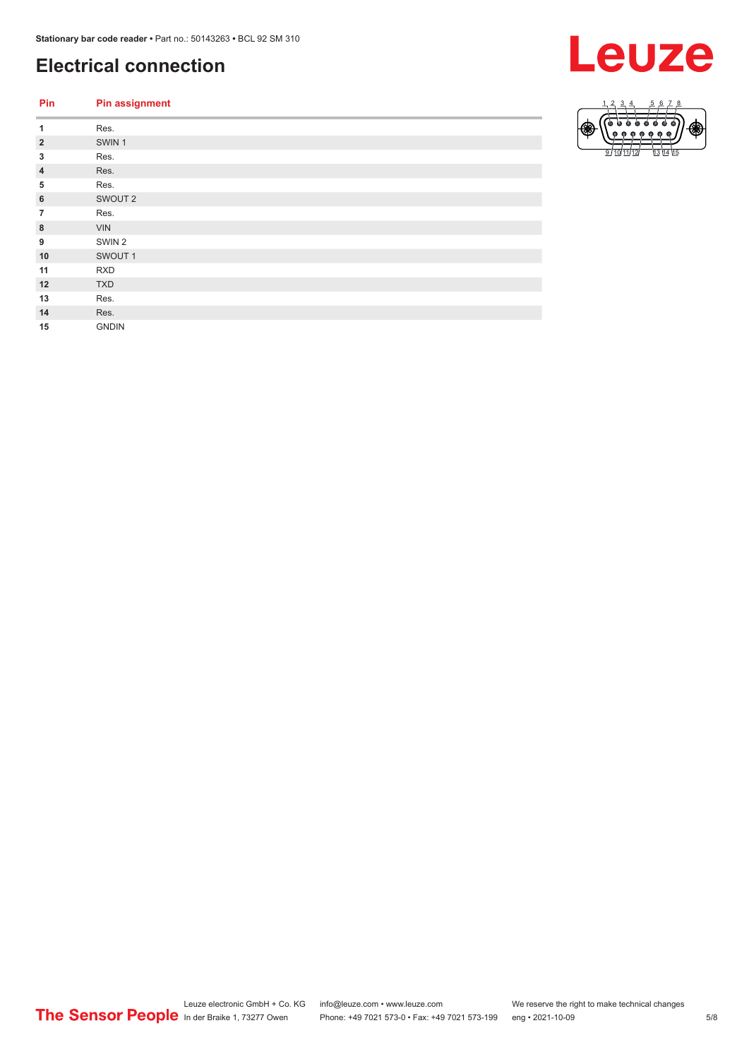### **Electrical connection**

| Pin            | <b>Pin assignment</b> |
|----------------|-----------------------|
| 1              | Res.                  |
| $\overline{2}$ | SWIN <sub>1</sub>     |
| 3              | Res.                  |
| $\overline{4}$ | Res.                  |
| 5              | Res.                  |
| 6              | SWOUT <sub>2</sub>    |
| $\overline{7}$ | Res.                  |
| 8              | <b>VIN</b>            |
| 9              | SWIN <sub>2</sub>     |
| 10             | SWOUT 1               |
| 11             | <b>RXD</b>            |
| 12             | <b>TXD</b>            |
| 13             | Res.                  |
| 14             | Res.                  |
| 15             | <b>GNDIN</b>          |
|                |                       |



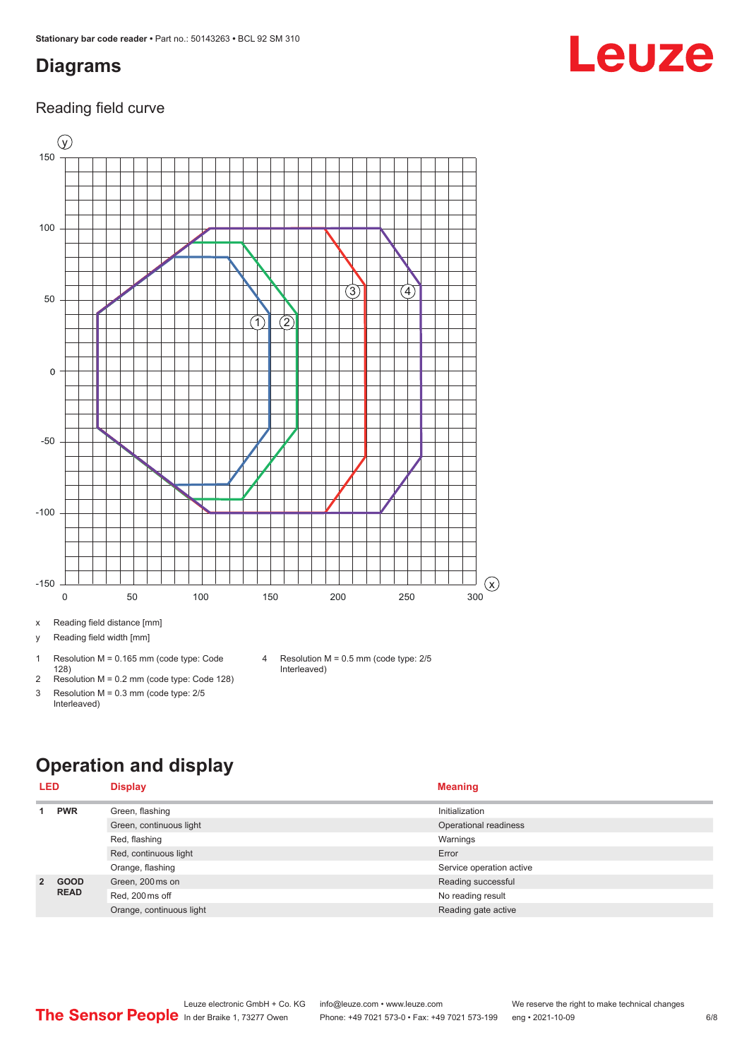#### <span id="page-5-0"></span>**Diagrams**

#### Reading field curve



x Reading field distance [mm]

y Reading field width [mm]

- 1 Resolution M = 0.165 mm (code type: Code 128) 2 Resolution M = 0.2 mm (code type: Code 128)
- 3 Resolution M = 0.3 mm (code type: 2/5
	- Interleaved)
- 4 Resolution M = 0.5 mm (code type: 2/5 Interleaved)

### **Operation and display**

| <b>LED</b>  |                            | <b>Display</b>           | <b>Meaning</b>           |
|-------------|----------------------------|--------------------------|--------------------------|
|             | <b>PWR</b>                 | Green, flashing          | Initialization           |
|             |                            | Green, continuous light  | Operational readiness    |
|             |                            | Red, flashing            | Warnings                 |
|             |                            | Red, continuous light    | Error                    |
|             |                            | Orange, flashing         | Service operation active |
| $2^{\circ}$ | <b>GOOD</b><br><b>READ</b> | Green, 200 ms on         | Reading successful       |
|             |                            | Red, 200 ms off          | No reading result        |
|             |                            | Orange, continuous light | Reading gate active      |

Leuze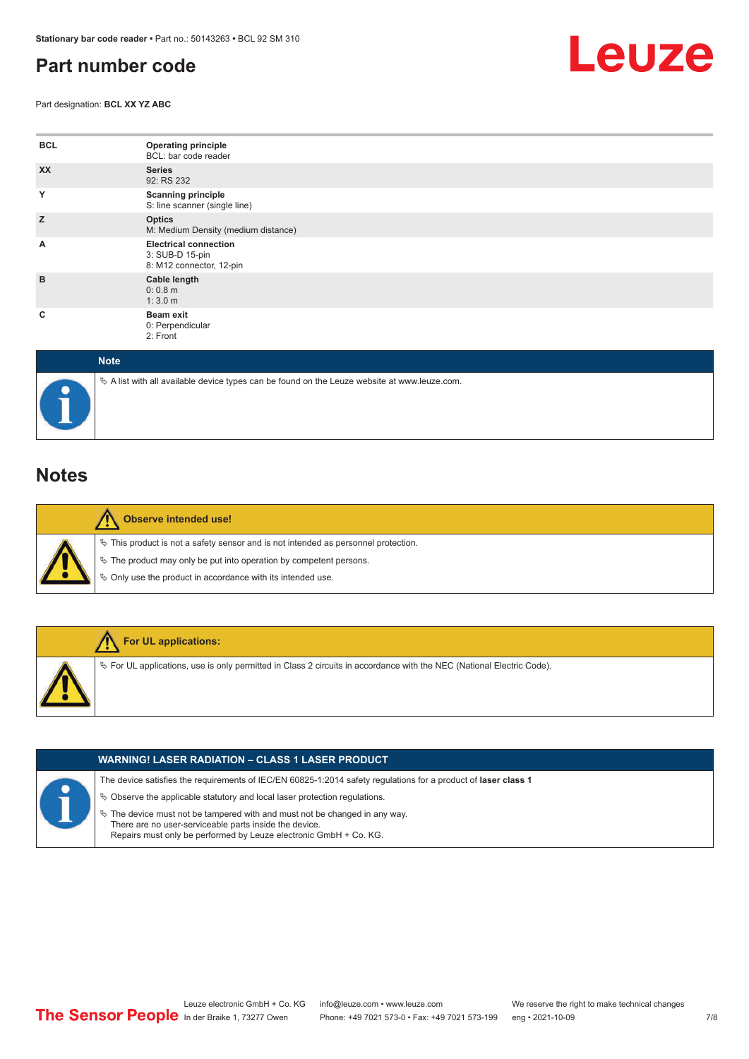#### <span id="page-6-0"></span>**Part number code**

Part designation: **BCL XX YZ ABC**



| <b>BCL</b> | <b>Operating principle</b><br>BCL: bar code reader                          |
|------------|-----------------------------------------------------------------------------|
| <b>XX</b>  | <b>Series</b><br>92: RS 232                                                 |
| Y          | <b>Scanning principle</b><br>S: line scanner (single line)                  |
| Z          | <b>Optics</b><br>M: Medium Density (medium distance)                        |
| A          | <b>Electrical connection</b><br>3: SUB-D 15-pin<br>8: M12 connector, 12-pin |
| B          | Cable length<br>0: 0.8 m<br>1:3.0 m                                         |
| c          | <b>Beam exit</b><br>0: Perpendicular<br>2: Front                            |

| <b>Note</b>                                                                                  |
|----------------------------------------------------------------------------------------------|
| ∜ A list with all available device types can be found on the Leuze website at www.leuze.com. |

#### **Notes**

|  | Observe intended use!                                                                 |
|--|---------------------------------------------------------------------------------------|
|  | $\%$ This product is not a safety sensor and is not intended as personnel protection. |
|  | $\&$ The product may only be put into operation by competent persons.                 |
|  | $\%$ Only use the product in accordance with its intended use.                        |
|  |                                                                                       |



|  | <b>WARNING! LASER RADIATION – CLASS 1 LASER PRODUCT</b>                                                                                                                                                      |
|--|--------------------------------------------------------------------------------------------------------------------------------------------------------------------------------------------------------------|
|  | The device satisfies the requirements of IEC/EN 60825-1:2014 safety requlations for a product of laser class 1                                                                                               |
|  | $\%$ Observe the applicable statutory and local laser protection regulations.                                                                                                                                |
|  | $\%$ The device must not be tampered with and must not be changed in any way.<br>There are no user-serviceable parts inside the device.<br>Repairs must only be performed by Leuze electronic GmbH + Co. KG. |